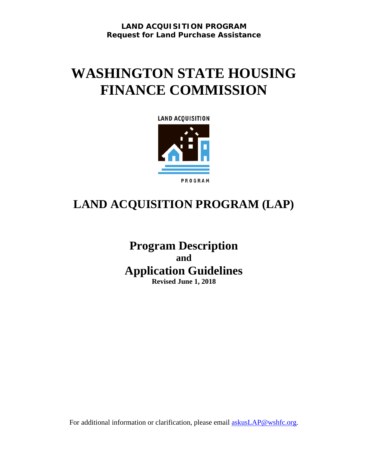**LAND ACQUISITION PROGRAM Request for Land Purchase Assistance**

# **WASHINGTON STATE HOUSING FINANCE COMMISSION**



## **LAND ACQUISITION PROGRAM (LAP)**

**Program Description and Application Guidelines Revised June 1, 2018**

For additional information or clarification, please email **askusLAP@wshfc.org**.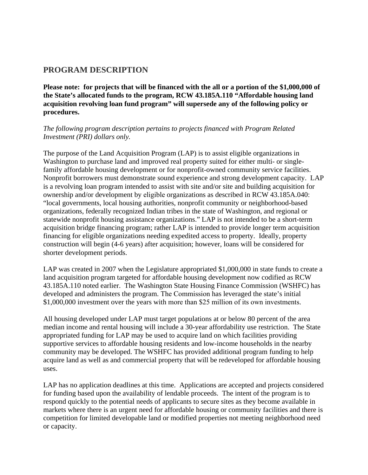## **PROGRAM DESCRIPTION**

**Please note: for projects that will be financed with the all or a portion of the \$1,000,000 of the State's allocated funds to the program, RCW 43.185A.110 "Affordable housing land acquisition revolving loan fund program" will supersede any of the following policy or procedures.** 

### *The following program description pertains to projects financed with Program Related Investment (PRI) dollars only.*

The purpose of the Land Acquisition Program (LAP) is to assist eligible organizations in Washington to purchase land and improved real property suited for either multi- or singlefamily affordable housing development or for nonprofit-owned community service facilities. Nonprofit borrowers must demonstrate sound experience and strong development capacity. LAP is a revolving loan program intended to assist with site and/or site and building acquisition for ownership and/or development by eligible organizations as described in RCW 43.185A.040: "local governments, local housing authorities, nonprofit community or neighborhood-based organizations, federally recognized Indian tribes in the state of Washington, and regional or statewide nonprofit housing assistance organizations." LAP is not intended to be a short-term acquisition bridge financing program; rather LAP is intended to provide longer term acquisition financing for eligible organizations needing expedited access to property. Ideally, property construction will begin (4-6 years) after acquisition; however, loans will be considered for shorter development periods.

LAP was created in 2007 when the Legislature appropriated \$1,000,000 in state funds to create a land acquisition program targeted for affordable housing development now codified as RCW 43.185A.110 noted earlier. The Washington State Housing Finance Commission (WSHFC) has developed and administers the program. The Commission has leveraged the state's initial \$1,000,000 investment over the years with more than \$25 million of its own investments.

All housing developed under LAP must target populations at or below 80 percent of the area median income and rental housing will include a 30-year affordability use restriction. The State appropriated funding for LAP may be used to acquire land on which facilities providing supportive services to affordable housing residents and low-income households in the nearby community may be developed. The WSHFC has provided additional program funding to help acquire land as well as and commercial property that will be redeveloped for affordable housing uses.

LAP has no application deadlines at this time. Applications are accepted and projects considered for funding based upon the availability of lendable proceeds. The intent of the program is to respond quickly to the potential needs of applicants to secure sites as they become available in markets where there is an urgent need for affordable housing or community facilities and there is competition for limited developable land or modified properties not meeting neighborhood need or capacity.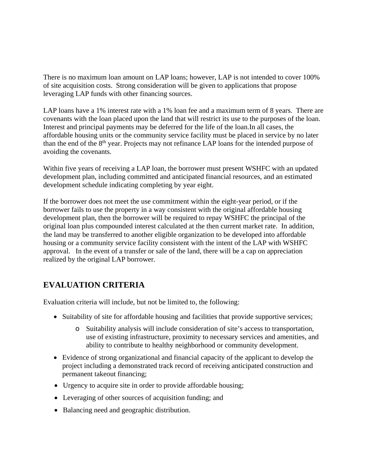There is no maximum loan amount on LAP loans; however, LAP is not intended to cover 100% of site acquisition costs. Strong consideration will be given to applications that propose leveraging LAP funds with other financing sources.

LAP loans have a 1% interest rate with a 1% loan fee and a maximum term of 8 years. There are covenants with the loan placed upon the land that will restrict its use to the purposes of the loan. Interest and principal payments may be deferred for the life of the loan.In all cases, the affordable housing units or the community service facility must be placed in service by no later than the end of the 8<sup>th</sup> year. Projects may not refinance LAP loans for the intended purpose of avoiding the covenants.

Within five years of receiving a LAP loan, the borrower must present WSHFC with an updated development plan, including committed and anticipated financial resources, and an estimated development schedule indicating completing by year eight.

If the borrower does not meet the use commitment within the eight-year period, or if the borrower fails to use the property in a way consistent with the original affordable housing development plan, then the borrower will be required to repay WSHFC the principal of the original loan plus compounded interest calculated at the then current market rate. In addition, the land may be transferred to another eligible organization to be developed into affordable housing or a community service facility consistent with the intent of the LAP with WSHFC approval. In the event of a transfer or sale of the land, there will be a cap on appreciation realized by the original LAP borrower.

## **EVALUATION CRITERIA**

Evaluation criteria will include, but not be limited to, the following:

- Suitability of site for affordable housing and facilities that provide supportive services;
	- o Suitability analysis will include consideration of site's access to transportation, use of existing infrastructure, proximity to necessary services and amenities, and ability to contribute to healthy neighborhood or community development.
- Evidence of strong organizational and financial capacity of the applicant to develop the project including a demonstrated track record of receiving anticipated construction and permanent takeout financing;
- Urgency to acquire site in order to provide affordable housing;
- Leveraging of other sources of acquisition funding; and
- Balancing need and geographic distribution.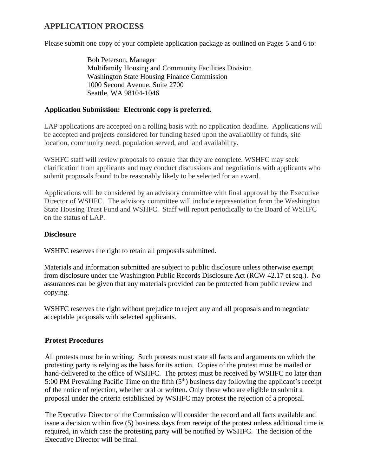## **APPLICATION PROCESS**

Please submit one copy of your complete application package as outlined on Pages 5 and 6 to:

Bob Peterson, Manager Multifamily Housing and Community Facilities Division Washington State Housing Finance Commission 1000 Second Avenue, Suite 2700 Seattle, WA 98104-1046

### **Application Submission: Electronic copy is preferred.**

LAP applications are accepted on a rolling basis with no application deadline. Applications will be accepted and projects considered for funding based upon the availability of funds, site location, community need, population served, and land availability.

WSHFC staff will review proposals to ensure that they are complete. WSHFC may seek clarification from applicants and may conduct discussions and negotiations with applicants who submit proposals found to be reasonably likely to be selected for an award.

Applications will be considered by an advisory committee with final approval by the Executive Director of WSHFC. The advisory committee will include representation from the Washington State Housing Trust Fund and WSHFC. Staff will report periodically to the Board of WSHFC on the status of LAP.

#### **Disclosure**

WSHFC reserves the right to retain all proposals submitted.

Materials and information submitted are subject to public disclosure unless otherwise exempt from disclosure under the Washington Public Records Disclosure Act (RCW 42.17 et seq.). No assurances can be given that any materials provided can be protected from public review and copying.

WSHFC reserves the right without prejudice to reject any and all proposals and to negotiate acceptable proposals with selected applicants.

#### **Protest Procedures**

All protests must be in writing. Such protests must state all facts and arguments on which the protesting party is relying as the basis for its action. Copies of the protest must be mailed or hand-delivered to the office of WSHFC. The protest must be received by WSHFC no later than 5:00 PM Prevailing Pacific Time on the fifth  $(5<sup>th</sup>)$  business day following the applicant's receipt of the notice of rejection, whether oral or written. Only those who are eligible to submit a proposal under the criteria established by WSHFC may protest the rejection of a proposal.

The Executive Director of the Commission will consider the record and all facts available and issue a decision within five (5) business days from receipt of the protest unless additional time is required, in which case the protesting party will be notified by WSHFC. The decision of the Executive Director will be final.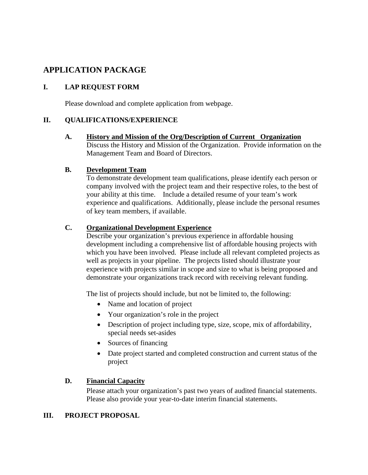## **APPLICATION PACKAGE**

## **I. LAP REQUEST FORM**

Please download and complete application from webpage.

## **II. QUALIFICATIONS/EXPERIENCE**

**A. History and Mission of the Org/Description of Current Organization** Discuss the History and Mission of the Organization. Provide information on the Management Team and Board of Directors.

### **B. Development Team**

To demonstrate development team qualifications, please identify each person or company involved with the project team and their respective roles, to the best of your ability at this time. Include a detailed resume of your team's work experience and qualifications. Additionally, please include the personal resumes of key team members, if available.

## **C. Organizational Development Experience**

Describe your organization's previous experience in affordable housing development including a comprehensive list of affordable housing projects with which you have been involved. Please include all relevant completed projects as well as projects in your pipeline. The projects listed should illustrate your experience with projects similar in scope and size to what is being proposed and demonstrate your organizations track record with receiving relevant funding.

The list of projects should include, but not be limited to, the following:

- Name and location of project
- Your organization's role in the project
- Description of project including type, size, scope, mix of affordability, special needs set-asides
- Sources of financing
- Date project started and completed construction and current status of the project

## **D. Financial Capacity**

Please attach your organization's past two years of audited financial statements. Please also provide your year-to-date interim financial statements.

## **III. PROJECT PROPOSAL**